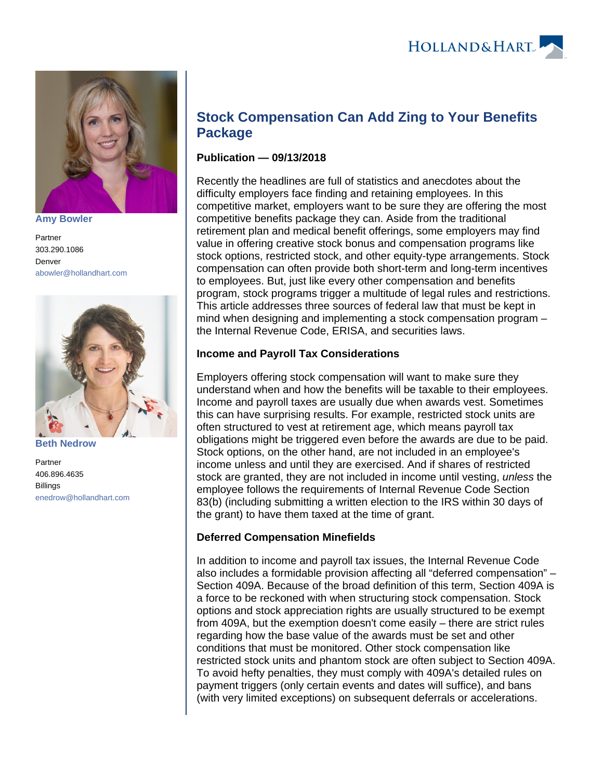

**[Amy Bowler](https://www.hollandhart.com/15503)**

Partner 303.290.1086 Denver [abowler@hollandhart.com](mailto:abowler@hollandhart.com)



**[Beth Nedrow](https://www.hollandhart.com/15614)**

Partner 406.896.4635 Billings [enedrow@hollandhart.com](mailto:enedrow@hollandhart.com)

# **Stock Compensation Can Add Zing to Your Benefits Package**

### **Publication — 09/13/2018**

Recently the headlines are full of statistics and anecdotes about the difficulty employers face finding and retaining employees. In this competitive market, employers want to be sure they are offering the most competitive benefits package they can. Aside from the traditional retirement plan and medical benefit offerings, some employers may find value in offering creative stock bonus and compensation programs like stock options, restricted stock, and other equity-type arrangements. Stock compensation can often provide both short-term and long-term incentives to employees. But, just like every other compensation and benefits program, stock programs trigger a multitude of legal rules and restrictions. This article addresses three sources of federal law that must be kept in mind when designing and implementing a stock compensation program – the Internal Revenue Code, ERISA, and securities laws.

## **Income and Payroll Tax Considerations**

Employers offering stock compensation will want to make sure they understand when and how the benefits will be taxable to their employees. Income and payroll taxes are usually due when awards vest. Sometimes this can have surprising results. For example, restricted stock units are often structured to vest at retirement age, which means payroll tax obligations might be triggered even before the awards are due to be paid. Stock options, on the other hand, are not included in an employee's income unless and until they are exercised. And if shares of restricted stock are granted, they are not included in income until vesting, *unless* the employee follows the requirements of Internal Revenue Code Section 83(b) (including submitting a written election to the IRS within 30 days of the grant) to have them taxed at the time of grant.

#### **Deferred Compensation Minefields**

In addition to income and payroll tax issues, the Internal Revenue Code also includes a formidable provision affecting all "deferred compensation" – Section 409A. Because of the broad definition of this term, Section 409A is a force to be reckoned with when structuring stock compensation. Stock options and stock appreciation rights are usually structured to be exempt from 409A, but the exemption doesn't come easily – there are strict rules regarding how the base value of the awards must be set and other conditions that must be monitored. Other stock compensation like restricted stock units and phantom stock are often subject to Section 409A. To avoid hefty penalties, they must comply with 409A's detailed rules on payment triggers (only certain events and dates will suffice), and bans (with very limited exceptions) on subsequent deferrals or accelerations.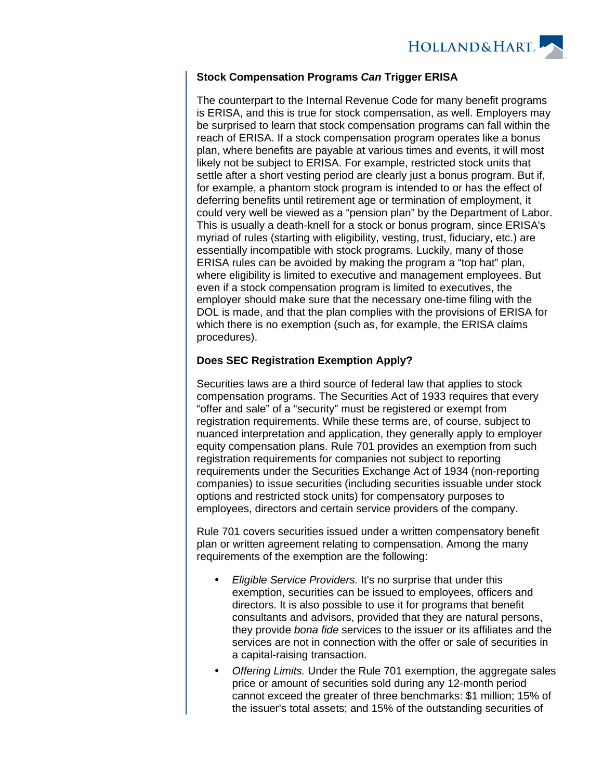

#### **Stock Compensation Programs Can Trigger ERISA**

The counterpart to the Internal Revenue Code for many benefit programs is ERISA, and this is true for stock compensation, as well. Employers may be surprised to learn that stock compensation programs can fall within the reach of ERISA. If a stock compensation program operates like a bonus plan, where benefits are payable at various times and events, it will most likely not be subject to ERISA. For example, restricted stock units that settle after a short vesting period are clearly just a bonus program. But if, for example, a phantom stock program is intended to or has the effect of deferring benefits until retirement age or termination of employment, it could very well be viewed as a "pension plan" by the Department of Labor. This is usually a death-knell for a stock or bonus program, since ERISA's myriad of rules (starting with eligibility, vesting, trust, fiduciary, etc.) are essentially incompatible with stock programs. Luckily, many of those ERISA rules can be avoided by making the program a "top hat" plan, where eligibility is limited to executive and management employees. But even if a stock compensation program is limited to executives, the employer should make sure that the necessary one-time filing with the DOL is made, and that the plan complies with the provisions of ERISA for which there is no exemption (such as, for example, the ERISA claims procedures).

#### **Does SEC Registration Exemption Apply?**

Securities laws are a third source of federal law that applies to stock compensation programs. The Securities Act of 1933 requires that every "offer and sale" of a "security" must be registered or exempt from registration requirements. While these terms are, of course, subject to nuanced interpretation and application, they generally apply to employer equity compensation plans. Rule 701 provides an exemption from such registration requirements for companies not subject to reporting requirements under the Securities Exchange Act of 1934 (non-reporting companies) to issue securities (including securities issuable under stock options and restricted stock units) for compensatory purposes to employees, directors and certain service providers of the company.

Rule 701 covers securities issued under a written compensatory benefit plan or written agreement relating to compensation. Among the many requirements of the exemption are the following:

- Eligible Service Providers. It's no surprise that under this exemption, securities can be issued to employees, officers and directors. It is also possible to use it for programs that benefit consultants and advisors, provided that they are natural persons, they provide bona fide services to the issuer or its affiliates and the services are not in connection with the offer or sale of securities in a capital-raising transaction.
- Offering Limits. Under the Rule 701 exemption, the aggregate sales price or amount of securities sold during any 12-month period cannot exceed the greater of three benchmarks: \$1 million; 15% of the issuer's total assets; and 15% of the outstanding securities of